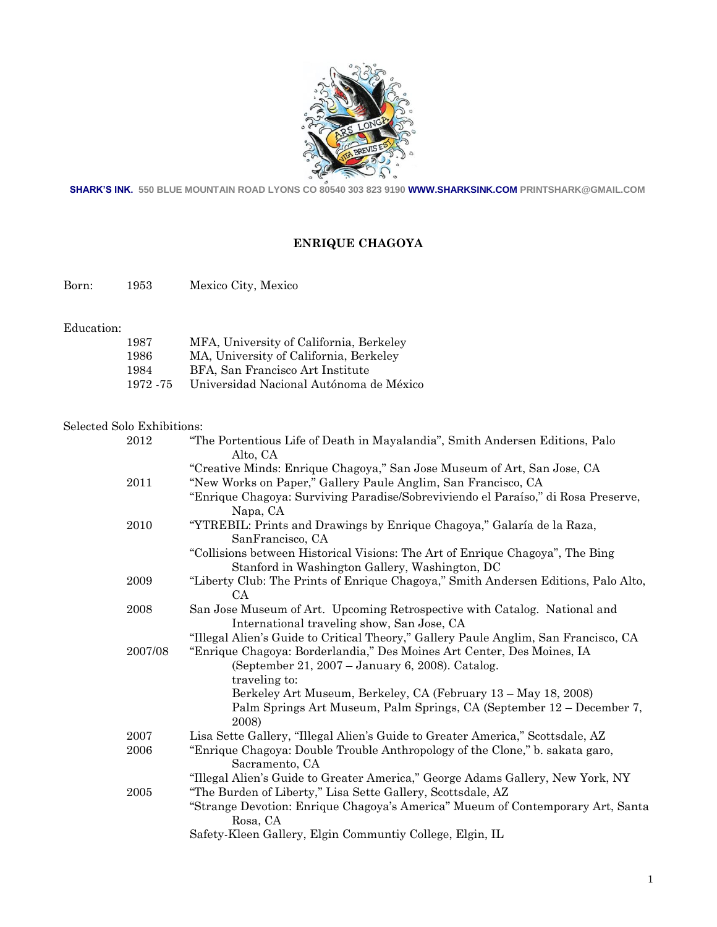

**SHARK'S INK. 550 BLUE MOUNTAIN ROAD LYONS CO 80540 303 823 9190 WWW.SHARKSINK.COM PRINTSHARK@GMAIL.COM**

# **ENRIQUE CHAGOYA**

Born: 1953 Mexico City, Mexico

#### Education:

| 1987      | MFA, University of California, Berkeley |
|-----------|-----------------------------------------|
| 1986      | MA, University of California, Berkeley  |
| 1984      | BFA. San Francisco Art Institute        |
| 1972 - 75 | Universidad Nacional Autónoma de México |

#### Selected Solo Exhibitions:

| 2012    | "The Portentious Life of Death in Mayalandia", Smith Andersen Editions, Palo<br>Alto, CA                                                                      |
|---------|---------------------------------------------------------------------------------------------------------------------------------------------------------------|
|         | "Creative Minds: Enrique Chagoya," San Jose Museum of Art, San Jose, CA                                                                                       |
| 2011    | "New Works on Paper," Gallery Paule Anglim, San Francisco, CA                                                                                                 |
|         | "Enrique Chagoya: Surviving Paradise/Sobreviviendo el Paraíso," di Rosa Preserve,<br>Napa, CA                                                                 |
| 2010    | "YTREBIL: Prints and Drawings by Enrique Chagoya," Galaría de la Raza,<br>SanFrancisco, CA                                                                    |
|         | "Collisions between Historical Visions: The Art of Enrique Chagoya", The Bing<br>Stanford in Washington Gallery, Washington, DC                               |
| 2009    | "Liberty Club: The Prints of Enrique Chagoya," Smith Andersen Editions, Palo Alto,<br>CA                                                                      |
| 2008    | San Jose Museum of Art. Upcoming Retrospective with Catalog. National and<br>International traveling show, San Jose, CA                                       |
| 2007/08 | "Illegal Alien's Guide to Critical Theory," Gallery Paule Anglim, San Francisco, CA<br>"Enrique Chagoya: Borderlandia," Des Moines Art Center, Des Moines, IA |
|         | (September 21, 2007 – January 6, 2008). Catalog.                                                                                                              |
|         | traveling to:                                                                                                                                                 |
|         | Berkeley Art Museum, Berkeley, CA (February 13 – May 18, 2008)                                                                                                |
|         | Palm Springs Art Museum, Palm Springs, CA (September 12 – December 7,<br>2008)                                                                                |
| 2007    | Lisa Sette Gallery, "Illegal Alien's Guide to Greater America," Scottsdale, AZ                                                                                |
| 2006    | "Enrique Chagoya: Double Trouble Anthropology of the Clone," b. sakata garo,<br>Sacramento, CA                                                                |
|         | "Illegal Alien's Guide to Greater America," George Adams Gallery, New York, NY                                                                                |
| 2005    | "The Burden of Liberty," Lisa Sette Gallery, Scottsdale, AZ                                                                                                   |
|         | "Strange Devotion: Enrique Chagoya's America" Mueum of Contemporary Art, Santa<br>Rosa, CA                                                                    |
|         | Safety-Kleen Gallery, Elgin Communtiy College, Elgin, IL                                                                                                      |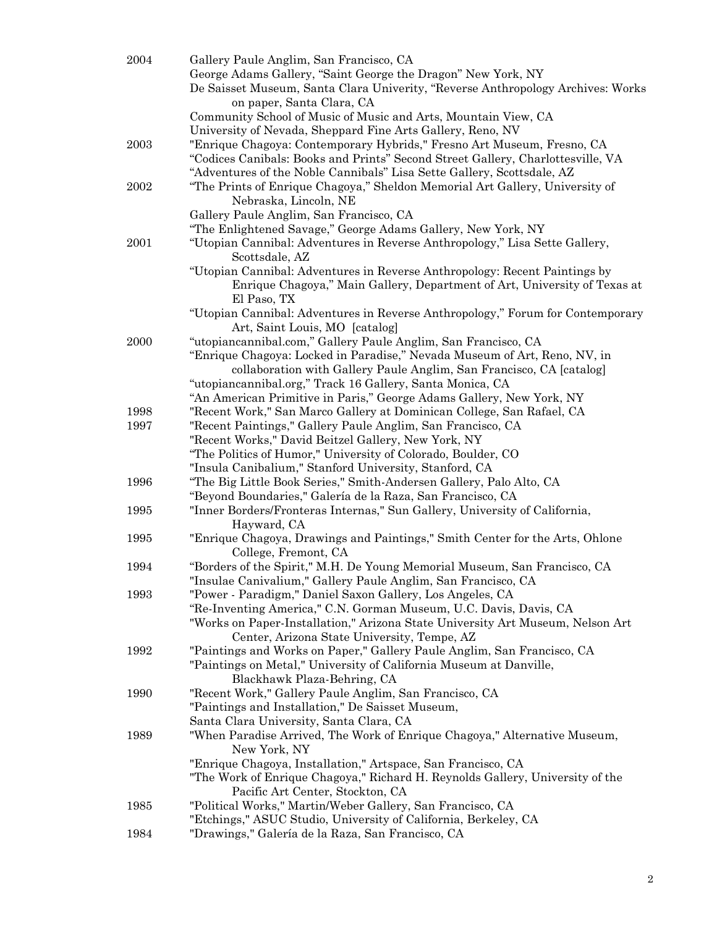| 2004 | Gallery Paule Anglim, San Francisco, CA                                                       |
|------|-----------------------------------------------------------------------------------------------|
|      | George Adams Gallery, "Saint George the Dragon" New York, NY                                  |
|      | De Saisset Museum, Santa Clara Univerity, "Reverse Anthropology Archives: Works               |
|      | on paper, Santa Clara, CA                                                                     |
|      | Community School of Music of Music and Arts, Mountain View, CA                                |
|      | University of Nevada, Sheppard Fine Arts Gallery, Reno, NV                                    |
| 2003 | "Enrique Chagoya: Contemporary Hybrids," Fresno Art Museum, Fresno, CA                        |
|      | "Codices Canibals: Books and Prints" Second Street Gallery, Charlottesville, VA               |
|      | "Adventures of the Noble Cannibals" Lisa Sette Gallery, Scottsdale, AZ                        |
| 2002 | "The Prints of Enrique Chagoya," Sheldon Memorial Art Gallery, University of                  |
|      | Nebraska, Lincoln, NE                                                                         |
|      |                                                                                               |
|      | Gallery Paule Anglim, San Francisco, CA                                                       |
|      | "The Enlightened Savage," George Adams Gallery, New York, NY                                  |
| 2001 | "Utopian Cannibal: Adventures in Reverse Anthropology," Lisa Sette Gallery,<br>Scottsdale, AZ |
|      | "Utopian Cannibal: Adventures in Reverse Anthropology: Recent Paintings by                    |
|      | Enrique Chagoya," Main Gallery, Department of Art, University of Texas at                     |
|      | El Paso, TX                                                                                   |
|      | "Utopian Cannibal: Adventures in Reverse Anthropology," Forum for Contemporary                |
|      | Art, Saint Louis, MO [catalog]                                                                |
| 2000 | "utopiancannibal.com," Gallery Paule Anglim, San Francisco, CA                                |
|      | "Enrique Chagoya: Locked in Paradise," Nevada Museum of Art, Reno, NV, in                     |
|      | collaboration with Gallery Paule Anglim, San Francisco, CA [catalog]                          |
|      | "utopiancannibal.org," Track 16 Gallery, Santa Monica, CA                                     |
|      | "An American Primitive in Paris," George Adams Gallery, New York, NY                          |
| 1998 | "Recent Work," San Marco Gallery at Dominican College, San Rafael, CA                         |
| 1997 | "Recent Paintings," Gallery Paule Anglim, San Francisco, CA                                   |
|      | "Recent Works," David Beitzel Gallery, New York, NY                                           |
|      | "The Politics of Humor," University of Colorado, Boulder, CO                                  |
|      | "Insula Canibalium," Stanford University, Stanford, CA                                        |
| 1996 |                                                                                               |
|      | "The Big Little Book Series," Smith-Andersen Gallery, Palo Alto, CA                           |
|      | "Beyond Boundaries," Galería de la Raza, San Francisco, CA                                    |
| 1995 | "Inner Borders/Fronteras Internas," Sun Gallery, University of California,                    |
|      | Hayward, CA                                                                                   |
| 1995 | "Enrique Chagoya, Drawings and Paintings," Smith Center for the Arts, Ohlone                  |
|      | College, Fremont, CA                                                                          |
| 1994 | "Borders of the Spirit," M.H. De Young Memorial Museum, San Francisco, CA                     |
|      | "Insulae Canivalium," Gallery Paule Anglim, San Francisco, CA                                 |
| 1993 | "Power - Paradigm," Daniel Saxon Gallery, Los Angeles, CA                                     |
|      | "Re-Inventing America," C.N. Gorman Museum, U.C. Davis, Davis, CA                             |
|      | "Works on Paper-Installation," Arizona State University Art Museum, Nelson Art                |
|      | Center, Arizona State University, Tempe, AZ                                                   |
| 1992 | "Paintings and Works on Paper," Gallery Paule Anglim, San Francisco, CA                       |
|      | "Paintings on Metal," University of California Museum at Danville,                            |
|      | Blackhawk Plaza-Behring, CA                                                                   |
| 1990 | "Recent Work," Gallery Paule Anglim, San Francisco, CA                                        |
|      | "Paintings and Installation," De Saisset Museum,                                              |
|      | Santa Clara University, Santa Clara, CA                                                       |
| 1989 | "When Paradise Arrived, The Work of Enrique Chagoya," Alternative Museum,                     |
|      | New York, NY                                                                                  |
|      | "Enrique Chagoya, Installation," Artspace, San Francisco, CA                                  |
|      | "The Work of Enrique Chagoya," Richard H. Reynolds Gallery, University of the                 |
|      | Pacific Art Center, Stockton, CA                                                              |
| 1985 | "Political Works," Martin/Weber Gallery, San Francisco, CA                                    |
|      | "Etchings," ASUC Studio, University of California, Berkeley, CA                               |
| 1984 | "Drawings," Galería de la Raza, San Francisco, CA                                             |
|      |                                                                                               |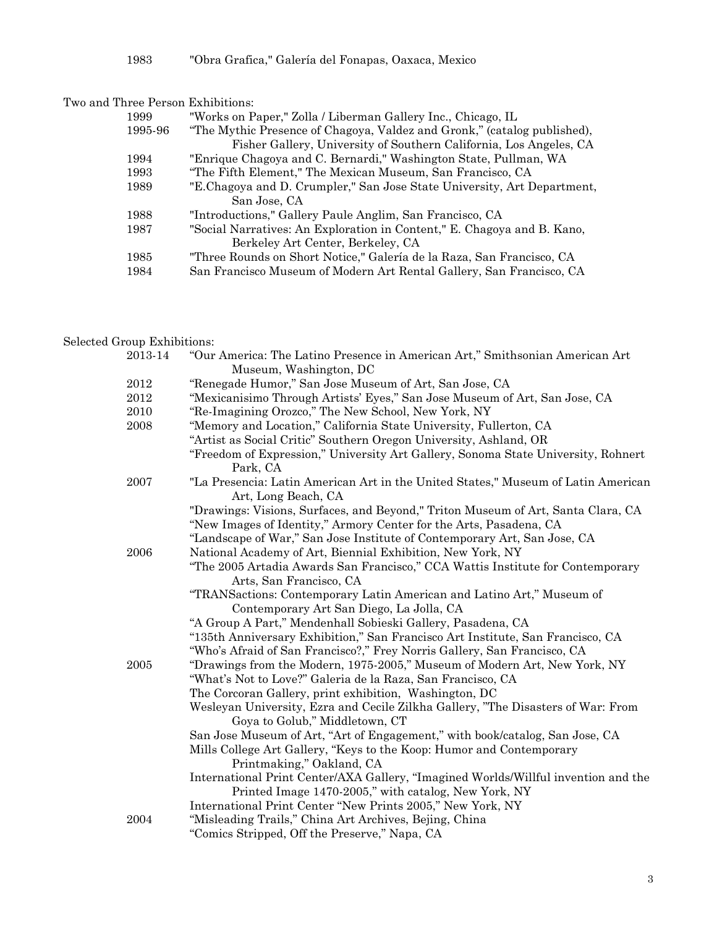1983 "Obra Grafica," Galería del Fonapas, Oaxaca, Mexico

| Two and Three Person Exhibitions: |  |
|-----------------------------------|--|
|-----------------------------------|--|

| 1999    | "Works on Paper," Zolla / Liberman Gallery Inc., Chicago, IL             |
|---------|--------------------------------------------------------------------------|
| 1995-96 | "The Mythic Presence of Chagoya, Valdez and Gronk," (catalog published), |
|         | Fisher Gallery, University of Southern California, Los Angeles, CA       |
| 1994    | "Enrique Chagoya and C. Bernardi," Washington State, Pullman, WA         |
| 1993    | "The Fifth Element," The Mexican Museum, San Francisco, CA               |
| 1989    | "E.Chagoya and D. Crumpler," San Jose State University, Art Department,  |
|         | San Jose, CA                                                             |
| 1988    | "Introductions," Gallery Paule Anglim, San Francisco, CA                 |
| 1987    | "Social Narratives: An Exploration in Content," E. Chagoya and B. Kano,  |
|         | Berkeley Art Center, Berkeley, CA                                        |
| 1985    | "Three Rounds on Short Notice," Galería de la Raza, San Francisco, CA    |
| 1984    | San Francisco Museum of Modern Art Rental Gallery, San Francisco, CA     |

# Selected Group Exhibitions:

| 2013-14  | "Our America: The Latino Presence in American Art," Smithsonian American Art       |
|----------|------------------------------------------------------------------------------------|
|          | Museum, Washington, DC                                                             |
| $\,2012$ | "Renegade Humor," San Jose Museum of Art, San Jose, CA                             |
| 2012     | "Mexicanisimo Through Artists' Eyes," San Jose Museum of Art, San Jose, CA         |
| 2010     | "Re-Imagining Orozco," The New School, New York, NY                                |
| 2008     | "Memory and Location," California State University, Fullerton, CA                  |
|          | "Artist as Social Critic" Southern Oregon University, Ashland, OR                  |
|          | "Freedom of Expression," University Art Gallery, Sonoma State University, Rohnert  |
|          | Park, CA                                                                           |
| 2007     | "La Presencia: Latin American Art in the United States," Museum of Latin American  |
|          | Art, Long Beach, CA                                                                |
|          | "Drawings: Visions, Surfaces, and Beyond," Triton Museum of Art, Santa Clara, CA   |
|          | "New Images of Identity," Armory Center for the Arts, Pasadena, CA                 |
|          | "Landscape of War," San Jose Institute of Contemporary Art, San Jose, CA           |
| 2006     | National Academy of Art, Biennial Exhibition, New York, NY                         |
|          | "The 2005 Artadia Awards San Francisco," CCA Wattis Institute for Contemporary     |
|          | Arts, San Francisco, CA                                                            |
|          | "TRANSactions: Contemporary Latin American and Latino Art," Museum of              |
|          | Contemporary Art San Diego, La Jolla, CA                                           |
|          | "A Group A Part," Mendenhall Sobieski Gallery, Pasadena, CA                        |
|          | "135th Anniversary Exhibition," San Francisco Art Institute, San Francisco, CA     |
|          | "Who's Afraid of San Francisco?," Frey Norris Gallery, San Francisco, CA           |
| 2005     | "Drawings from the Modern, 1975-2005," Museum of Modern Art, New York, NY          |
|          | "What's Not to Love?" Galeria de la Raza, San Francisco, CA                        |
|          | The Corcoran Gallery, print exhibition, Washington, DC                             |
|          | Wesleyan University, Ezra and Cecile Zilkha Gallery, "The Disasters of War: From   |
|          | Goya to Golub," Middletown, CT                                                     |
|          | San Jose Museum of Art, "Art of Engagement," with book/catalog, San Jose, CA       |
|          | Mills College Art Gallery, "Keys to the Koop: Humor and Contemporary               |
|          | Printmaking," Oakland, CA                                                          |
|          | International Print Center/AXA Gallery, "Imagined Worlds/Willful invention and the |
|          | Printed Image 1470-2005," with catalog, New York, NY                               |
|          | International Print Center "New Prints 2005," New York, NY                         |
| 2004     | "Misleading Trails," China Art Archives, Bejing, China                             |
|          | "Comics Stripped, Off the Preserve," Napa, CA                                      |
|          |                                                                                    |

3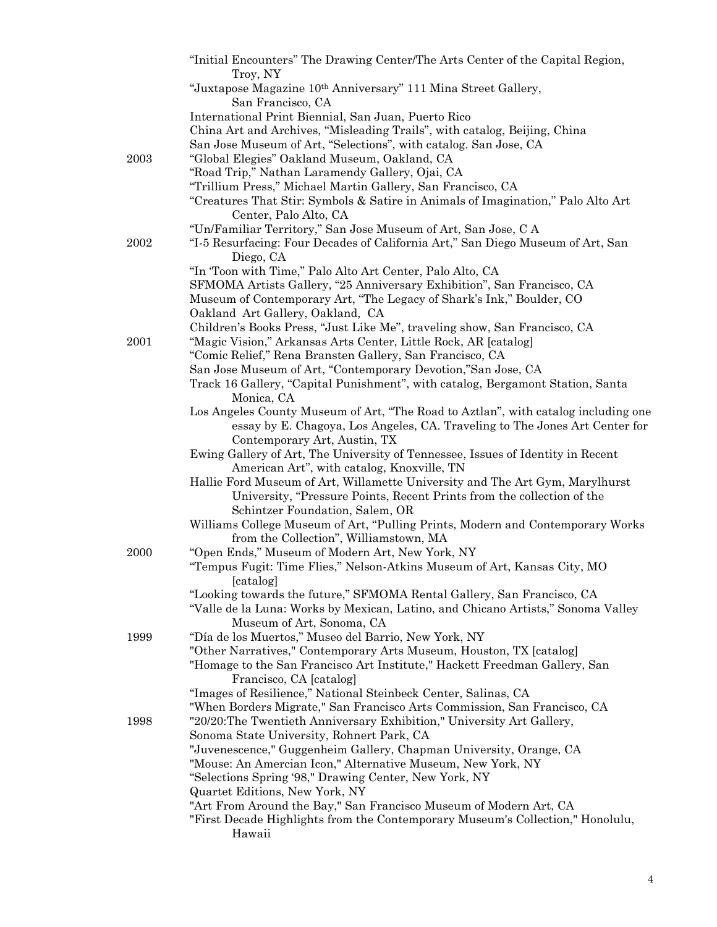|      | "Initial Encounters" The Drawing Center/The Arts Center of the Capital Region,                                                                                    |
|------|-------------------------------------------------------------------------------------------------------------------------------------------------------------------|
|      | Troy, NY                                                                                                                                                          |
|      | "Juxtapose Magazine 10th Anniversary" 111 Mina Street Gallery,<br>San Francisco, CA                                                                               |
|      | International Print Biennial, San Juan, Puerto Rico                                                                                                               |
|      | China Art and Archives, "Misleading Trails", with catalog, Beijing, China                                                                                         |
|      | San Jose Museum of Art, "Selections", with catalog. San Jose, CA                                                                                                  |
| 2003 | "Global Elegies" Oakland Museum, Oakland, CA                                                                                                                      |
|      | "Road Trip," Nathan Laramendy Gallery, Ojai, CA                                                                                                                   |
|      | "Trillium Press," Michael Martin Gallery, San Francisco, CA                                                                                                       |
|      | "Creatures That Stir: Symbols & Satire in Animals of Imagination," Palo Alto Art                                                                                  |
|      | Center, Palo Alto, CA                                                                                                                                             |
|      | "Un/Familiar Territory," San Jose Museum of Art, San Jose, C A                                                                                                    |
| 2002 | "I-5 Resurfacing: Four Decades of California Art," San Diego Museum of Art, San<br>Diego, CA                                                                      |
|      | "In Toon with Time," Palo Alto Art Center, Palo Alto, CA                                                                                                          |
|      | SFMOMA Artists Gallery, "25 Anniversary Exhibition", San Francisco, CA                                                                                            |
|      | Museum of Contemporary Art, "The Legacy of Shark's Ink," Boulder, CO                                                                                              |
|      | Oakland Art Gallery, Oakland, CA                                                                                                                                  |
|      | Children's Books Press, "Just Like Me", traveling show, San Francisco, CA                                                                                         |
| 2001 | "Magic Vision," Arkansas Arts Center, Little Rock, AR [catalog]                                                                                                   |
|      | "Comic Relief," Rena Bransten Gallery, San Francisco, CA                                                                                                          |
|      | San Jose Museum of Art, "Contemporary Devotion,"San Jose, CA                                                                                                      |
|      | Track 16 Gallery, "Capital Punishment", with catalog, Bergamont Station, Santa                                                                                    |
|      | Monica, CA                                                                                                                                                        |
|      | Los Angeles County Museum of Art, "The Road to Aztlan", with catalog including one<br>essay by E. Chagoya, Los Angeles, CA. Traveling to The Jones Art Center for |
|      | Contemporary Art, Austin, TX                                                                                                                                      |
|      | Ewing Gallery of Art, The University of Tennessee, Issues of Identity in Recent                                                                                   |
|      | American Art", with catalog, Knoxville, TN                                                                                                                        |
|      | Hallie Ford Museum of Art, Willamette University and The Art Gym, Marylhurst                                                                                      |
|      | University, "Pressure Points, Recent Prints from the collection of the                                                                                            |
|      | Schintzer Foundation, Salem, OR                                                                                                                                   |
|      | Williams College Museum of Art, "Pulling Prints, Modern and Contemporary Works                                                                                    |
| 2000 | from the Collection", Williamstown, MA<br>"Open Ends," Museum of Modern Art, New York, NY                                                                         |
|      | "Tempus Fugit: Time Flies," Nelson-Atkins Museum of Art, Kansas City, MO                                                                                          |
|      | [catalog]                                                                                                                                                         |
|      | "Looking towards the future," SFMOMA Rental Gallery, San Francisco, CA                                                                                            |
|      | "Valle de la Luna: Works by Mexican, Latino, and Chicano Artists," Sonoma Valley                                                                                  |
|      | Museum of Art, Sonoma, CA                                                                                                                                         |
| 1999 | "Día de los Muertos," Museo del Barrio, New York, NY                                                                                                              |
|      | "Other Narratives," Contemporary Arts Museum, Houston, TX [catalog]                                                                                               |
|      | "Homage to the San Francisco Art Institute," Hackett Freedman Gallery, San                                                                                        |
|      | Francisco, CA [catalog]                                                                                                                                           |
|      | "Images of Resilience," National Steinbeck Center, Salinas, CA<br>"When Borders Migrate," San Francisco Arts Commission, San Francisco, CA                        |
| 1998 | "20/20: The Twentieth Anniversary Exhibition," University Art Gallery,                                                                                            |
|      | Sonoma State University, Rohnert Park, CA                                                                                                                         |
|      | "Juvenescence," Guggenheim Gallery, Chapman University, Orange, CA                                                                                                |
|      | "Mouse: An Amercian Icon," Alternative Museum, New York, NY                                                                                                       |
|      | "Selections Spring '98," Drawing Center, New York, NY                                                                                                             |
|      | Quartet Editions, New York, NY                                                                                                                                    |
|      | "Art From Around the Bay," San Francisco Museum of Modern Art, CA                                                                                                 |
|      | "First Decade Highlights from the Contemporary Museum's Collection," Honolulu,                                                                                    |
|      | Hawaii                                                                                                                                                            |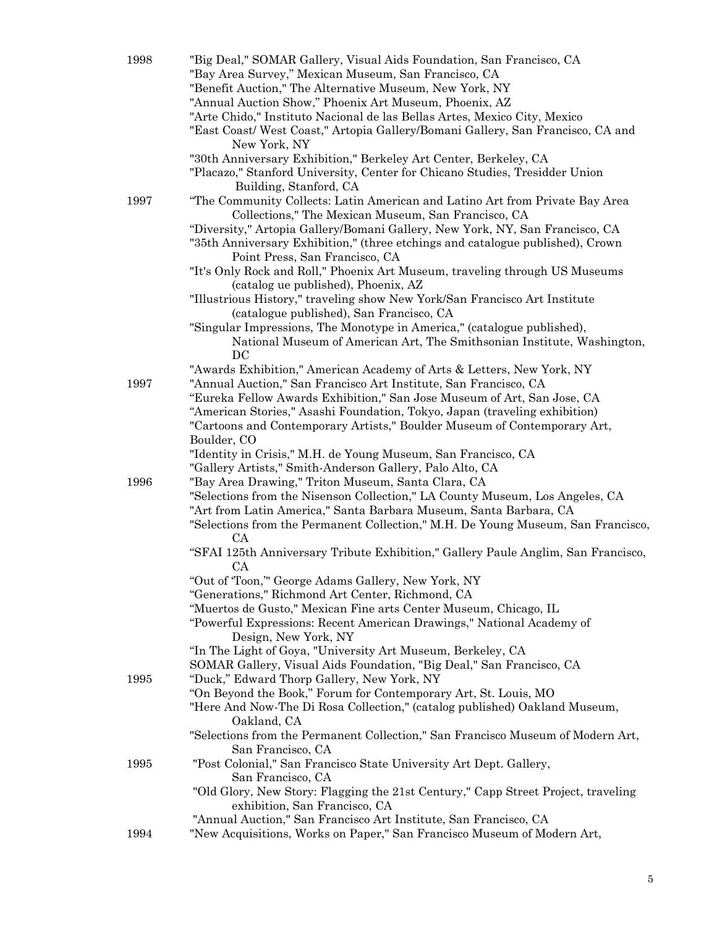| 1998 | "Big Deal," SOMAR Gallery, Visual Aids Foundation, San Francisco, CA              |
|------|-----------------------------------------------------------------------------------|
|      | "Bay Area Survey," Mexican Museum, San Francisco, CA                              |
|      | "Benefit Auction," The Alternative Museum, New York, NY                           |
|      | "Annual Auction Show," Phoenix Art Museum, Phoenix, AZ                            |
|      |                                                                                   |
|      | "Arte Chido," Instituto Nacional de las Bellas Artes, Mexico City, Mexico         |
|      | "East Coast/West Coast," Artopia Gallery/Bomani Gallery, San Francisco, CA and    |
|      | New York, NY                                                                      |
|      | "30th Anniversary Exhibition," Berkeley Art Center, Berkeley, CA                  |
|      | "Placazo," Stanford University, Center for Chicano Studies, Tresidder Union       |
|      | Building, Stanford, CA                                                            |
|      |                                                                                   |
| 1997 | "The Community Collects: Latin American and Latino Art from Private Bay Area      |
|      | Collections," The Mexican Museum, San Francisco, CA                               |
|      | "Diversity," Artopia Gallery/Bomani Gallery, New York, NY, San Francisco, CA      |
|      | "35th Anniversary Exhibition," (three etchings and catalogue published), Crown    |
|      | Point Press, San Francisco, CA                                                    |
|      | "It's Only Rock and Roll," Phoenix Art Museum, traveling through US Museums       |
|      | (catalog ue published), Phoenix, AZ                                               |
|      |                                                                                   |
|      | "Illustrious History," traveling show New York/San Francisco Art Institute        |
|      | (catalogue published), San Francisco, CA                                          |
|      | "Singular Impressions, The Monotype in America," (catalogue published),           |
|      | National Museum of American Art, The Smithsonian Institute, Washington,           |
|      | DC                                                                                |
|      | "Awards Exhibition," American Academy of Arts & Letters, New York, NY             |
| 1997 | "Annual Auction," San Francisco Art Institute, San Francisco, CA                  |
|      |                                                                                   |
|      | "Eureka Fellow Awards Exhibition," San Jose Museum of Art, San Jose, CA           |
|      | "American Stories," Asashi Foundation, Tokyo, Japan (traveling exhibition)        |
|      | "Cartoons and Contemporary Artists," Boulder Museum of Contemporary Art,          |
|      | Boulder, CO                                                                       |
|      | "Identity in Crisis," M.H. de Young Museum, San Francisco, CA                     |
|      | "Gallery Artists," Smith-Anderson Gallery, Palo Alto, CA                          |
| 1996 | "Bay Area Drawing," Triton Museum, Santa Clara, CA                                |
|      | "Selections from the Nisenson Collection," LA County Museum, Los Angeles, CA      |
|      |                                                                                   |
|      | "Art from Latin America," Santa Barbara Museum, Santa Barbara, CA                 |
|      | "Selections from the Permanent Collection," M.H. De Young Museum, San Francisco,  |
|      | CA                                                                                |
|      | "SFAI 125th Anniversary Tribute Exhibition," Gallery Paule Anglim, San Francisco, |
|      | <b>CA</b>                                                                         |
|      | "Out of 'Toon," George Adams Gallery, New York, NY                                |
|      | "Generations," Richmond Art Center, Richmond, CA                                  |
|      | "Muertos de Gusto," Mexican Fine arts Center Museum, Chicago, IL                  |
|      |                                                                                   |
|      | "Powerful Expressions: Recent American Drawings," National Academy of             |
|      | Design, New York, NY                                                              |
|      | "In The Light of Goya, "University Art Museum, Berkeley, CA                       |
|      | SOMAR Gallery, Visual Aids Foundation, "Big Deal," San Francisco, CA              |
| 1995 | "Duck," Edward Thorp Gallery, New York, NY                                        |
|      | "On Beyond the Book," Forum for Contemporary Art, St. Louis, MO                   |
|      | "Here And Now-The Di Rosa Collection," (catalog published) Oakland Museum,        |
|      | Oakland, CA                                                                       |
|      | "Selections from the Permanent Collection," San Francisco Museum of Modern Art,   |
|      |                                                                                   |
|      | San Francisco, CA                                                                 |
| 1995 | "Post Colonial," San Francisco State University Art Dept. Gallery,                |
|      | San Francisco, CA                                                                 |
|      | "Old Glory, New Story: Flagging the 21st Century," Capp Street Project, traveling |
|      | exhibition, San Francisco, CA                                                     |
|      | "Annual Auction," San Francisco Art Institute, San Francisco, CA                  |
| 1994 | "New Acquisitions, Works on Paper," San Francisco Museum of Modern Art,           |
|      |                                                                                   |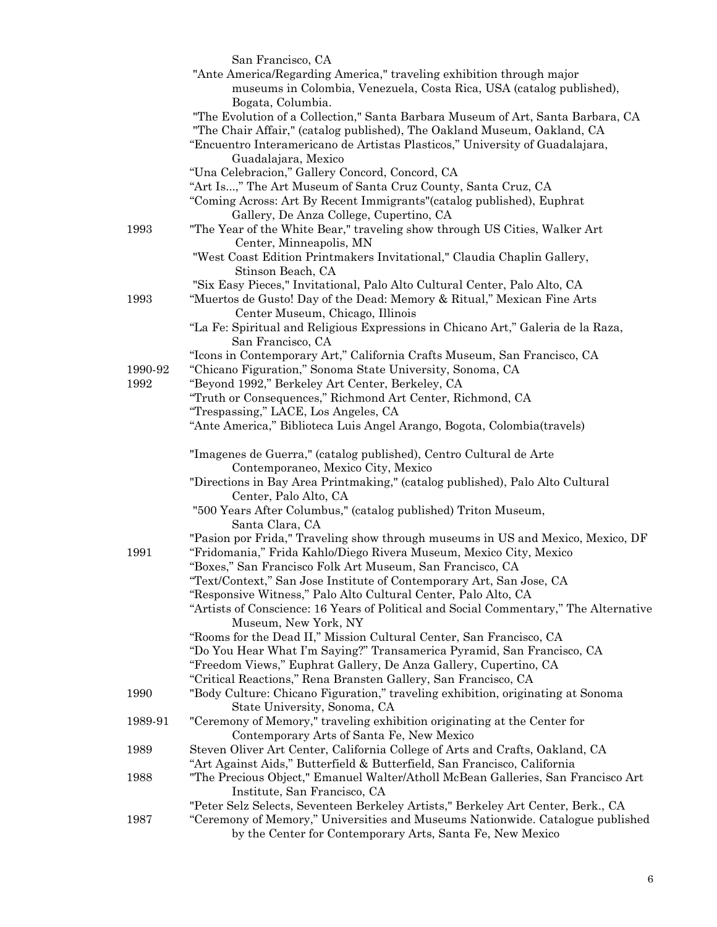|         | San Francisco, CA                                                                     |
|---------|---------------------------------------------------------------------------------------|
|         | "Ante America/Regarding America," traveling exhibition through major                  |
|         | museums in Colombia, Venezuela, Costa Rica, USA (catalog published),                  |
|         | Bogata, Columbia.                                                                     |
|         | "The Evolution of a Collection," Santa Barbara Museum of Art, Santa Barbara, CA       |
|         | "The Chair Affair," (catalog published), The Oakland Museum, Oakland, CA              |
|         | "Encuentro Interamericano de Artistas Plasticos," University of Guadalajara,          |
|         | Guadalajara, Mexico                                                                   |
|         | "Una Celebracion," Gallery Concord, Concord, CA                                       |
|         |                                                                                       |
|         | "Art Is," The Art Museum of Santa Cruz County, Santa Cruz, CA                         |
|         | "Coming Across: Art By Recent Immigrants" (catalog published), Euphrat                |
|         | Gallery, De Anza College, Cupertino, CA                                               |
| 1993    | "The Year of the White Bear," traveling show through US Cities, Walker Art            |
|         | Center, Minneapolis, MN                                                               |
|         | "West Coast Edition Printmakers Invitational," Claudia Chaplin Gallery,               |
|         | Stinson Beach, CA                                                                     |
|         | "Six Easy Pieces," Invitational, Palo Alto Cultural Center, Palo Alto, CA             |
| 1993    | "Muertos de Gusto! Day of the Dead: Memory & Ritual," Mexican Fine Arts               |
|         | Center Museum, Chicago, Illinois                                                      |
|         | "La Fe: Spiritual and Religious Expressions in Chicano Art," Galeria de la Raza,      |
|         | San Francisco, CA                                                                     |
|         | "Icons in Contemporary Art," California Crafts Museum, San Francisco, CA              |
| 1990-92 | "Chicano Figuration," Sonoma State University, Sonoma, CA                             |
| 1992    | "Beyond 1992," Berkeley Art Center, Berkeley, CA                                      |
|         | "Truth or Consequences," Richmond Art Center, Richmond, CA                            |
|         | "Trespassing," LACE, Los Angeles, CA                                                  |
|         | "Ante America," Biblioteca Luis Angel Arango, Bogota, Colombia (travels)              |
|         |                                                                                       |
|         | "Imagenes de Guerra," (catalog published), Centro Cultural de Arte                    |
|         | Contemporaneo, Mexico City, Mexico                                                    |
|         | "Directions in Bay Area Printmaking," (catalog published), Palo Alto Cultural         |
|         | Center, Palo Alto, CA                                                                 |
|         | "500 Years After Columbus," (catalog published) Triton Museum,                        |
|         | Santa Clara, CA                                                                       |
|         | "Pasion por Frida," Traveling show through museums in US and Mexico, Mexico, DF       |
| 1991    | "Fridomania," Frida Kahlo/Diego Rivera Museum, Mexico City, Mexico                    |
|         | "Boxes," San Francisco Folk Art Museum, San Francisco, CA                             |
|         | "Text/Context," San Jose Institute of Contemporary Art, San Jose, CA                  |
|         | "Responsive Witness," Palo Alto Cultural Center, Palo Alto, CA                        |
|         | "Artists of Conscience: 16 Years of Political and Social Commentary," The Alternative |
|         | Museum, New York, NY                                                                  |
|         | "Rooms for the Dead II," Mission Cultural Center, San Francisco, CA                   |
|         | "Do You Hear What I'm Saying?" Transamerica Pyramid, San Francisco, CA                |
|         | "Freedom Views," Euphrat Gallery, De Anza Gallery, Cupertino, CA                      |
|         | "Critical Reactions," Rena Bransten Gallery, San Francisco, CA                        |
| 1990    | "Body Culture: Chicano Figuration," traveling exhibition, originating at Sonoma       |
|         |                                                                                       |
|         | State University, Sonoma, CA                                                          |
| 1989-91 | "Ceremony of Memory," traveling exhibition originating at the Center for              |
|         | Contemporary Arts of Santa Fe, New Mexico                                             |
| 1989    | Steven Oliver Art Center, California College of Arts and Crafts, Oakland, CA          |
|         | "Art Against Aids," Butterfield & Butterfield, San Francisco, California              |
| 1988    | "The Precious Object," Emanuel Walter/Atholl McBean Galleries, San Francisco Art      |
|         | Institute, San Francisco, CA                                                          |
|         | "Peter Selz Selects, Seventeen Berkeley Artists," Berkeley Art Center, Berk., CA      |
| 1987    | "Ceremony of Memory," Universities and Museums Nationwide. Catalogue published        |
|         | by the Center for Contemporary Arts, Santa Fe, New Mexico                             |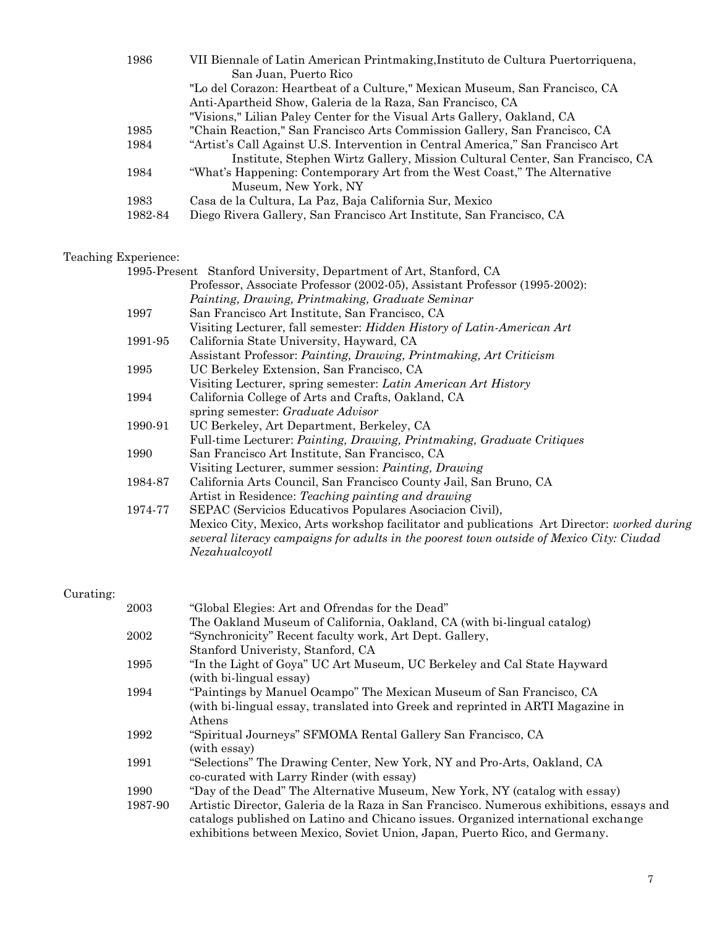| 1986    | VII Biennale of Latin American Printmaking, Instituto de Cultura Puertorriquena, |
|---------|----------------------------------------------------------------------------------|
|         | San Juan, Puerto Rico                                                            |
|         | "Lo del Corazon: Heartbeat of a Culture," Mexican Museum, San Francisco, CA      |
|         | Anti-Apartheid Show, Galeria de la Raza, San Francisco, CA                       |
|         | "Visions," Lilian Paley Center for the Visual Arts Gallery, Oakland, CA          |
| 1985    | "Chain Reaction," San Francisco Arts Commission Gallery, San Francisco, CA       |
| 1984    | "Artist's Call Against U.S. Intervention in Central America," San Francisco Art  |
|         | Institute, Stephen Wirtz Gallery, Mission Cultural Center, San Francisco, CA     |
| 1984    | "What's Happening: Contemporary Art from the West Coast," The Alternative        |
|         | Museum, New York, NY                                                             |
| 1983    | Casa de la Cultura, La Paz, Baja California Sur, Mexico                          |
| 1982-84 | Diego Rivera Gallery, San Francisco Art Institute, San Francisco, CA             |

# Teaching Experience:

| xperience: |                                                                                             |
|------------|---------------------------------------------------------------------------------------------|
|            | 1995-Present Stanford University, Department of Art, Stanford, CA                           |
|            | Professor, Associate Professor (2002-05), Assistant Professor (1995-2002):                  |
|            | Painting, Drawing, Printmaking, Graduate Seminar                                            |
| 1997       | San Francisco Art Institute, San Francisco, CA                                              |
|            | Visiting Lecturer, fall semester: <i>Hidden History of Latin-American Art</i>               |
| 1991-95    | California State University, Hayward, CA                                                    |
|            | Assistant Professor: Painting, Drawing, Printmaking, Art Criticism                          |
| 1995       | UC Berkeley Extension, San Francisco, CA                                                    |
|            | Visiting Lecturer, spring semester: Latin American Art History                              |
| 1994       | California College of Arts and Crafts, Oakland, CA                                          |
|            | spring semester: Graduate Advisor                                                           |
| 1990-91    | UC Berkeley, Art Department, Berkeley, CA                                                   |
|            | Full-time Lecturer: Painting, Drawing, Printmaking, Graduate Critiques                      |
| 1990       | San Francisco Art Institute, San Francisco, CA                                              |
|            | Visiting Lecturer, summer session: <i>Painting, Drawing</i>                                 |
| 1984-87    | California Arts Council, San Francisco County Jail, San Bruno, CA                           |
|            | Artist in Residence: Teaching painting and drawing                                          |
| 1974-77    | SEPAC (Servicios Educativos Populares Asociacion Civil),                                    |
|            | Mexico City, Mexico, Arts workshop facilitator and publications Art Director: worked during |
|            | several literacy campaigns for adults in the poorest town outside of Mexico City: Ciudad    |
|            | Nezahualcoyotl                                                                              |
|            |                                                                                             |

# Curating:

| "Global Elegies: Art and Ofrendas for the Dead"                                          |
|------------------------------------------------------------------------------------------|
| The Oakland Museum of California, Oakland, CA (with bi-lingual catalog)                  |
| "Synchronicity" Recent faculty work, Art Dept. Gallery,                                  |
| Stanford Univeristy, Stanford, CA                                                        |
| "In the Light of Goya" UC Art Museum, UC Berkeley and Cal State Hayward                  |
| (with bi-lingual essay)                                                                  |
| "Paintings by Manuel Ocampo" The Mexican Museum of San Francisco, CA                     |
| (with bi-lingual essay, translated into Greek and reprinted in ARTI Magazine in          |
| Athens                                                                                   |
| "Spiritual Journeys" SFMOMA Rental Gallery San Francisco, CA                             |
| (with essay)                                                                             |
| "Selections" The Drawing Center, New York, NY and Pro-Arts, Oakland, CA                  |
| co-curated with Larry Rinder (with essay)                                                |
| "Day of the Dead" The Alternative Museum, New York, NY (catalog with essay)              |
| Artistic Director, Galeria de la Raza in San Francisco. Numerous exhibitions, essays and |
| catalogs published on Latino and Chicano issues. Organized international exchange        |
| exhibitions between Mexico, Soviet Union, Japan, Puerto Rico, and Germany.               |
|                                                                                          |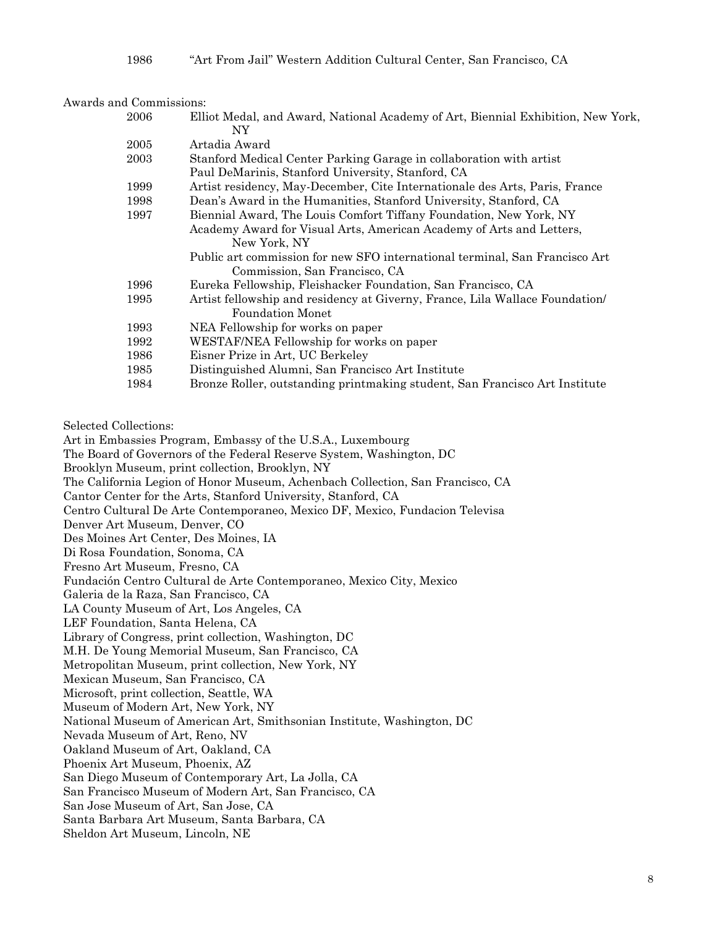1986 "Art From Jail" Western Addition Cultural Center, San Francisco, CA

| Awards and Commissions: |                                                                                         |
|-------------------------|-----------------------------------------------------------------------------------------|
| 2006                    | Elliot Medal, and Award, National Academy of Art, Biennial Exhibition, New York,<br>NY. |
| 2005                    | Artadia Award                                                                           |
| 2003                    | Stanford Medical Center Parking Garage in collaboration with artist                     |
|                         | Paul DeMarinis, Stanford University, Stanford, CA                                       |
| 1999                    | Artist residency, May-December, Cite Internationale des Arts, Paris, France             |
| 1998                    | Dean's Award in the Humanities, Stanford University, Stanford, CA                       |
| 1997                    | Biennial Award, The Louis Comfort Tiffany Foundation, New York, NY                      |
|                         | Academy Award for Visual Arts, American Academy of Arts and Letters,                    |
|                         | New York, NY                                                                            |
|                         | Public art commission for new SFO international terminal, San Francisco Art             |
|                         | Commission, San Francisco, CA                                                           |
| 1996                    | Eureka Fellowship, Fleishacker Foundation, San Francisco, CA                            |
| 1995                    | Artist fellowship and residency at Giverny, France, Lila Wallace Foundation             |
|                         | <b>Foundation Monet</b>                                                                 |
| 1993                    | NEA Fellowship for works on paper                                                       |
| 1992                    | WESTAF/NEA Fellowship for works on paper                                                |
| 1986                    | Eisner Prize in Art, UC Berkeley                                                        |
| 1985                    | Distinguished Alumni, San Francisco Art Institute                                       |
| 1984                    | Bronze Roller, outstanding printmaking student, San Francisco Art Institute             |
|                         |                                                                                         |
|                         |                                                                                         |

Selected Collections:

Art in Embassies Program, Embassy of the U.S.A., Luxembourg The Board of Governors of the Federal Reserve System, Washington, DC Brooklyn Museum, print collection, Brooklyn, NY The California Legion of Honor Museum, Achenbach Collection, San Francisco, CA Cantor Center for the Arts, Stanford University, Stanford, CA Centro Cultural De Arte Contemporaneo, Mexico DF, Mexico, Fundacion Televisa Denver Art Museum, Denver, CO Des Moines Art Center, Des Moines, IA Di Rosa Foundation, Sonoma, CA Fresno Art Museum, Fresno, CA Fundación Centro Cultural de Arte Contemporaneo, Mexico City, Mexico Galeria de la Raza, San Francisco, CA LA County Museum of Art, Los Angeles, CA LEF Foundation, Santa Helena, CA Library of Congress, print collection, Washington, DC M.H. De Young Memorial Museum, San Francisco, CA Metropolitan Museum, print collection, New York, NY Mexican Museum, San Francisco, CA Microsoft, print collection, Seattle, WA Museum of Modern Art, New York, NY National Museum of American Art, Smithsonian Institute, Washington, DC Nevada Museum of Art, Reno, NV Oakland Museum of Art, Oakland, CA Phoenix Art Museum, Phoenix, AZ San Diego Museum of Contemporary Art, La Jolla, CA San Francisco Museum of Modern Art, San Francisco, CA San Jose Museum of Art, San Jose, CA Santa Barbara Art Museum, Santa Barbara, CA Sheldon Art Museum, Lincoln, NE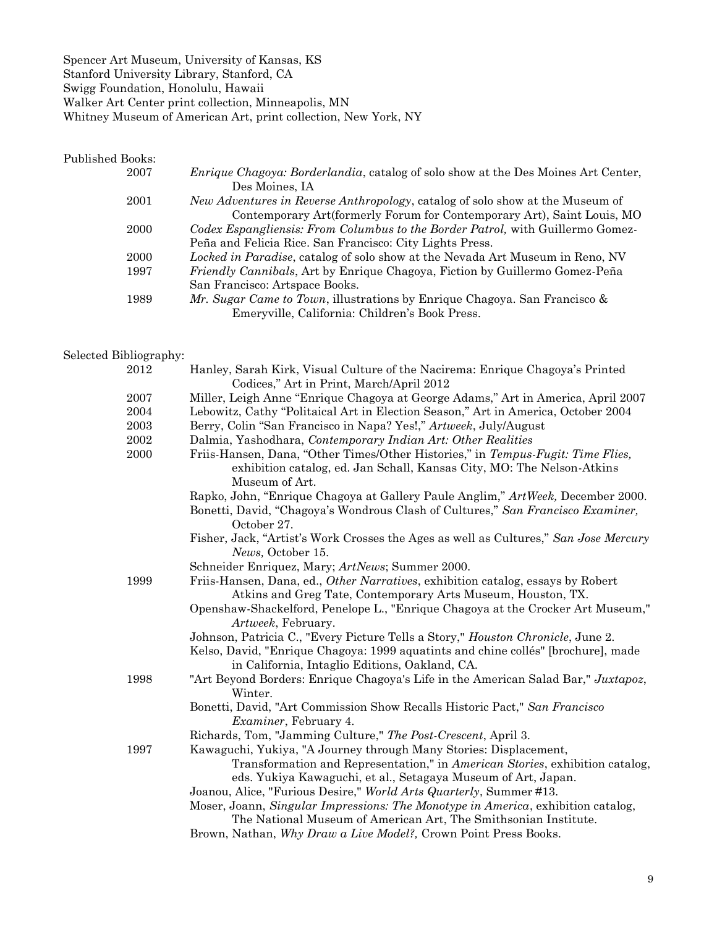Spencer Art Museum, University of Kansas, KS Stanford University Library, Stanford, CA Swigg Foundation, Honolulu, Hawaii Walker Art Center print collection, Minneapolis, MN Whitney Museum of American Art, print collection, New York, NY

#### Published Books:

| 2007 | <i>Enrique Chagoya: Borderlandia, catalog of solo show at the Des Moines Art Center,</i> |
|------|------------------------------------------------------------------------------------------|
|      | Des Moines, IA                                                                           |
| 2001 | <i>New Adventures in Reverse Anthropology</i> , catalog of solo show at the Museum of    |
|      | Contemporary Art (formerly Forum for Contemporary Art), Saint Louis, MO                  |
| 2000 | Codex Espangliensis: From Columbus to the Border Patrol, with Guillermo Gomez-           |
|      | Peña and Felicia Rice. San Francisco: City Lights Press.                                 |
| 2000 | Locked in Paradise, catalog of solo show at the Nevada Art Museum in Reno, NV            |
| 1997 | Friendly Cannibals, Art by Enrique Chagoya, Fiction by Guillermo Gomez-Peña              |
|      | San Francisco: Artspace Books.                                                           |
| 1989 | Mr. Sugar Came to Town, illustrations by Enrique Chagoya. San Francisco &                |
|      | Emeryville, California: Children's Book Press.                                           |

#### Selected Bibliography:

| 2012 | Hanley, Sarah Kirk, Visual Culture of the Nacirema: Enrique Chagoya's Printed<br>Codices," Art in Print, March/April 2012                                                   |
|------|-----------------------------------------------------------------------------------------------------------------------------------------------------------------------------|
| 2007 | Miller, Leigh Anne "Enrique Chagoya at George Adams," Art in America, April 2007                                                                                            |
| 2004 | Lebowitz, Cathy "Politaical Art in Election Season," Art in America, October 2004                                                                                           |
| 2003 | Berry, Colin "San Francisco in Napa? Yes!," Artweek, July/August                                                                                                            |
| 2002 | Dalmia, Yashodhara, Contemporary Indian Art: Other Realities                                                                                                                |
| 2000 | Friis-Hansen, Dana, "Other Times/Other Histories," in Tempus-Fugit: Time Flies,<br>exhibition catalog, ed. Jan Schall, Kansas City, MO: The Nelson-Atkins<br>Museum of Art. |
|      | Rapko, John, "Enrique Chagoya at Gallery Paule Anglim," Art Week, December 2000.                                                                                            |
|      | Bonetti, David, "Chagoya's Wondrous Clash of Cultures," San Francisco Examiner,<br>October 27.                                                                              |
|      | Fisher, Jack, "Artist's Work Crosses the Ages as well as Cultures," San Jose Mercury                                                                                        |
|      | News, October 15.                                                                                                                                                           |
|      | Schneider Enriquez, Mary; ArtNews; Summer 2000.                                                                                                                             |
| 1999 | Friis-Hansen, Dana, ed., Other Narratives, exhibition catalog, essays by Robert<br>Atkins and Greg Tate, Contemporary Arts Museum, Houston, TX.                             |
|      | Openshaw-Shackelford, Penelope L., "Enrique Chagoya at the Crocker Art Museum,"<br>Artweek, February.                                                                       |
|      | Johnson, Patricia C., "Every Picture Tells a Story," Houston Chronicle, June 2.                                                                                             |
|      | Kelso, David, "Enrique Chagoya: 1999 aquatints and chine collés" [brochure], made<br>in California, Intaglio Editions, Oakland, CA.                                         |
| 1998 | "Art Beyond Borders: Enrique Chagoya's Life in the American Salad Bar," Juxtapoz,                                                                                           |
|      | Winter.                                                                                                                                                                     |
|      | Bonetti, David, "Art Commission Show Recalls Historic Pact," San Francisco                                                                                                  |
|      | <i>Examiner</i> , February 4.                                                                                                                                               |
|      | Richards, Tom, "Jamming Culture," The Post-Crescent, April 3.                                                                                                               |
| 1997 | Kawaguchi, Yukiya, "A Journey through Many Stories: Displacement,                                                                                                           |
|      | Transformation and Representation," in American Stories, exhibition catalog,                                                                                                |
|      | eds. Yukiya Kawaguchi, et al., Setagaya Museum of Art, Japan.                                                                                                               |
|      | Joanou, Alice, "Furious Desire," World Arts Quarterly, Summer #13.                                                                                                          |
|      | Moser, Joann, Singular Impressions: The Monotype in America, exhibition catalog,<br>The National Museum of American Art, The Smithsonian Institute.                         |
|      | Brown, Nathan, Why Draw a Live Model?, Crown Point Press Books.                                                                                                             |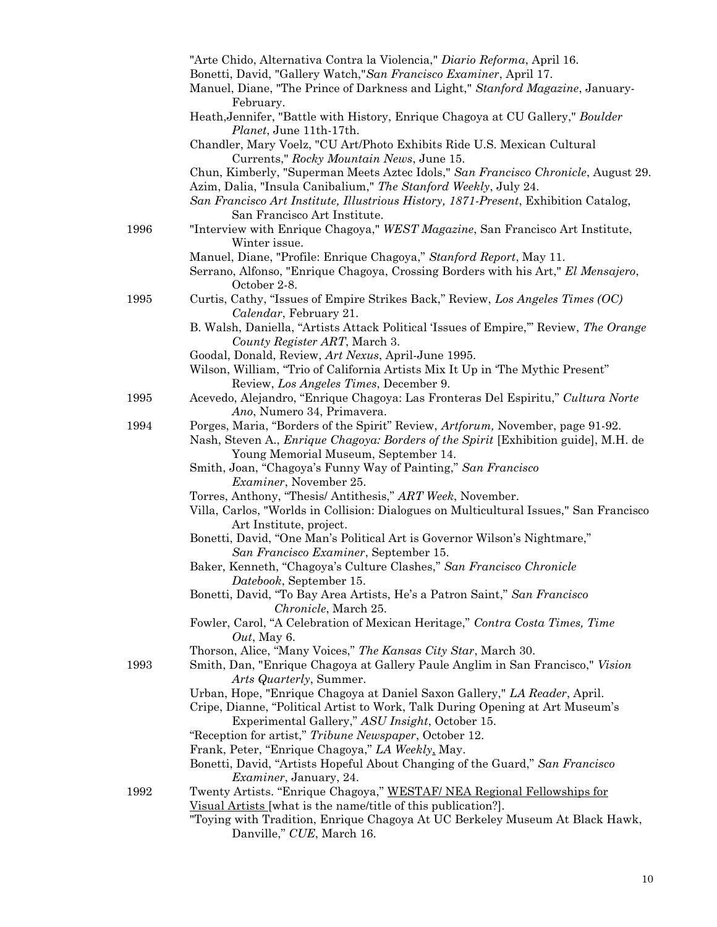|      | "Arte Chido, Alternativa Contra la Violencia," Diario Reforma, April 16.                                                                                 |
|------|----------------------------------------------------------------------------------------------------------------------------------------------------------|
|      | Bonetti, David, "Gallery Watch," San Francisco Examiner, April 17.                                                                                       |
|      | Manuel, Diane, "The Prince of Darkness and Light," Stanford Magazine, January-                                                                           |
|      | February.                                                                                                                                                |
|      | Heath, Jennifer, "Battle with History, Enrique Chagoya at CU Gallery," Boulder<br>Planet, June 11th-17th.                                                |
|      | Chandler, Mary Voelz, "CU Art/Photo Exhibits Ride U.S. Mexican Cultural                                                                                  |
|      | Currents," Rocky Mountain News, June 15.                                                                                                                 |
|      | Chun, Kimberly, "Superman Meets Aztec Idols," San Francisco Chronicle, August 29.                                                                        |
|      | Azim, Dalia, "Insula Canibalium," The Stanford Weekly, July 24.                                                                                          |
|      | San Francisco Art Institute, Illustrious History, 1871-Present, Exhibition Catalog,                                                                      |
|      | San Francisco Art Institute.                                                                                                                             |
| 1996 | "Interview with Enrique Chagoya," WEST Magazine, San Francisco Art Institute,                                                                            |
|      | Winter issue.                                                                                                                                            |
|      | Manuel, Diane, "Profile: Enrique Chagoya," Stanford Report, May 11.<br>Serrano, Alfonso, "Enrique Chagoya, Crossing Borders with his Art," El Mensajero, |
|      | October 2-8.                                                                                                                                             |
| 1995 | Curtis, Cathy, "Issues of Empire Strikes Back," Review, Los Angeles Times (OC)                                                                           |
|      | Calendar, February 21.                                                                                                                                   |
|      | B. Walsh, Daniella, "Artists Attack Political 'Issues of Empire," Review, The Orange                                                                     |
|      | County Register ART, March 3.                                                                                                                            |
|      | Goodal, Donald, Review, Art Nexus, April-June 1995.                                                                                                      |
|      | Wilson, William, "Trio of California Artists Mix It Up in 'The Mythic Present"                                                                           |
|      | Review, Los Angeles Times, December 9.                                                                                                                   |
| 1995 | Acevedo, Alejandro, "Enrique Chagoya: Las Fronteras Del Espiritu," Cultura Norte                                                                         |
| 1994 | Ano, Numero 34, Primavera.<br>Porges, Maria, "Borders of the Spirit" Review, Artforum, November, page 91-92.                                             |
|      | Nash, Steven A., <i>Enrique Chagoya: Borders of the Spirit</i> [Exhibition guide], M.H. de                                                               |
|      | Young Memorial Museum, September 14.                                                                                                                     |
|      | Smith, Joan, "Chagoya's Funny Way of Painting," San Francisco                                                                                            |
|      | Examiner, November 25.                                                                                                                                   |
|      | Torres, Anthony, "Thesis/Antithesis," ART Week, November.                                                                                                |
|      | Villa, Carlos, "Worlds in Collision: Dialogues on Multicultural Issues," San Francisco                                                                   |
|      | Art Institute, project.                                                                                                                                  |
|      | Bonetti, David, "One Man's Political Art is Governor Wilson's Nightmare,"                                                                                |
|      | San Francisco Examiner, September 15.                                                                                                                    |
|      | Baker, Kenneth, "Chagoya's Culture Clashes," San Francisco Chronicle<br>Datebook, September 15.                                                          |
|      | Bonetti, David, "To Bay Area Artists, He's a Patron Saint," San Francisco                                                                                |
|      | Chronicle, March 25.                                                                                                                                     |
|      | Fowler, Carol, "A Celebration of Mexican Heritage," Contra Costa Times, Time                                                                             |
|      | $Out,$ May 6.                                                                                                                                            |
|      | Thorson, Alice, "Many Voices," The Kansas City Star, March 30.                                                                                           |
| 1993 | Smith, Dan, "Enrique Chagoya at Gallery Paule Anglim in San Francisco," Vision                                                                           |
|      | Arts Quarterly, Summer.                                                                                                                                  |
|      | Urban, Hope, "Enrique Chagoya at Daniel Saxon Gallery," LA Reader, April.                                                                                |
|      | Cripe, Dianne, "Political Artist to Work, Talk During Opening at Art Museum's<br>Experimental Gallery," ASU Insight, October 15.                         |
|      | "Reception for artist," Tribune Newspaper, October 12.                                                                                                   |
|      | Frank, Peter, "Enrique Chagoya," LA Weekly, May.                                                                                                         |
|      | Bonetti, David, "Artists Hopeful About Changing of the Guard," San Francisco                                                                             |
|      | <i>Examiner</i> , January, 24.                                                                                                                           |
| 1992 | Twenty Artists. "Enrique Chagoya," WESTAF/ NEA Regional Fellowships for                                                                                  |
|      | Visual Artists [what is the name/title of this publication?].                                                                                            |
|      | "Toying with Tradition, Enrique Chagoya At UC Berkeley Museum At Black Hawk,                                                                             |
|      | Danville," CUE, March 16.                                                                                                                                |